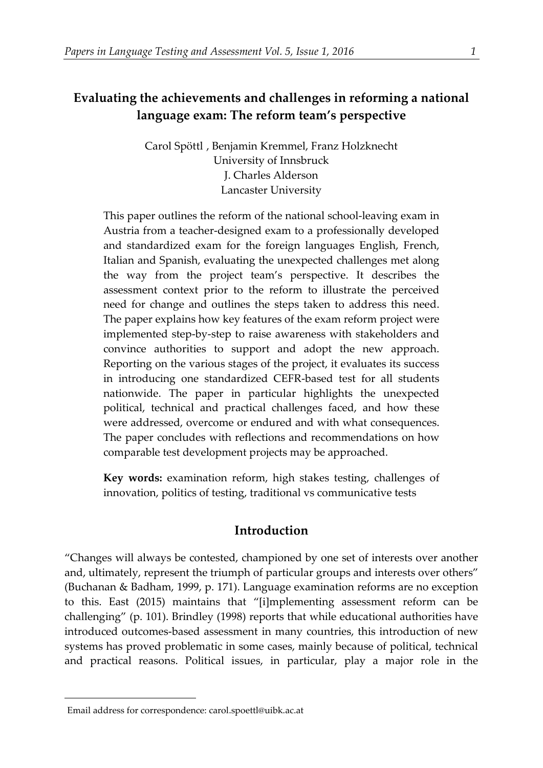# **Evaluating the achievements and challenges in reforming a national language exam: The reform team's perspective**

Carol Spöttl, Benjamin Kremmel, Franz Holzknecht University of Innsbruck J. Charles Alderson Lancaster University

This paper outlines the reform of the national school-leaving exam in Austria from a teacher-designed exam to a professionally developed and standardized exam for the foreign languages English, French, Italian and Spanish, evaluating the unexpected challenges met along the way from the project team's perspective. It describes the assessment context prior to the reform to illustrate the perceived need for change and outlines the steps taken to address this need. The paper explains how key features of the exam reform project were implemented step-by-step to raise awareness with stakeholders and convince authorities to support and adopt the new approach. Reporting on the various stages of the project, it evaluates its success in introducing one standardized CEFR-based test for all students nationwide. The paper in particular highlights the unexpected political, technical and practical challenges faced, and how these were addressed, overcome or endured and with what consequences. The paper concludes with reflections and recommendations on how comparable test development projects may be approached.

**Key words:** examination reform, high stakes testing, challenges of innovation, politics of testing, traditional vs communicative tests

## **Introduction**

"Changes will always be contested, championed by one set of interests over another and, ultimately, represent the triumph of particular groups and interests over others" (Buchanan & Badham, 1999, p. 171). Language examination reforms are no exception to this. East (2015) maintains that "[i]mplementing assessment reform can be challenging" (p. 101). Brindley (1998) reports that while educational authorities have introduced outcomes-based assessment in many countries, this introduction of new systems has proved problematic in some cases, mainly because of political, technical and practical reasons. Political issues, in particular, play a major role in the

<span id="page-0-0"></span> <sup>1</sup>Email address for correspondence: carol.spoettl@uibk.ac.at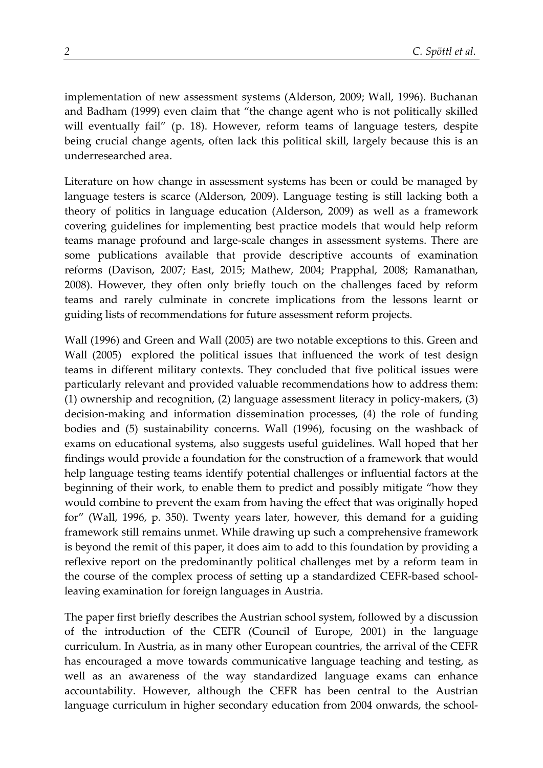implementation of new assessment systems (Alderson, 2009; Wall, 1996). Buchanan and Badham (1999) even claim that "the change agent who is not politically skilled will eventually fail" (p. 18). However, reform teams of language testers, despite being crucial change agents, often lack this political skill, largely because this is an underresearched area.

Literature on how change in assessment systems has been or could be managed by language testers is scarce (Alderson, 2009). Language testing is still lacking both a theory of politics in language education (Alderson, 2009) as well as a framework covering guidelines for implementing best practice models that would help reform teams manage profound and large-scale changes in assessment systems. There are some publications available that provide descriptive accounts of examination reforms (Davison, 2007; East, 2015; Mathew, 2004; Prapphal, 2008; Ramanathan, 2008). However, they often only briefly touch on the challenges faced by reform teams and rarely culminate in concrete implications from the lessons learnt or guiding lists of recommendations for future assessment reform projects.

Wall (1996) and Green and Wall (2005) are two notable exceptions to this. Green and Wall (2005) explored the political issues that influenced the work of test design teams in different military contexts. They concluded that five political issues were particularly relevant and provided valuable recommendations how to address them: (1) ownership and recognition, (2) language assessment literacy in policy-makers, (3) decision-making and information dissemination processes, (4) the role of funding bodies and (5) sustainability concerns. Wall (1996), focusing on the washback of exams on educational systems, also suggests useful guidelines. Wall hoped that her findings would provide a foundation for the construction of a framework that would help language testing teams identify potential challenges or influential factors at the beginning of their work, to enable them to predict and possibly mitigate "how they would combine to prevent the exam from having the effect that was originally hoped for" (Wall, 1996, p. 350). Twenty years later, however, this demand for a guiding framework still remains unmet. While drawing up such a comprehensive framework is beyond the remit of this paper, it does aim to add to this foundation by providing a reflexive report on the predominantly political challenges met by a reform team in the course of the complex process of setting up a standardized CEFR-based schoolleaving examination for foreign languages in Austria.

The paper first briefly describes the Austrian school system, followed by a discussion of the introduction of the CEFR (Council of Europe, 2001) in the language curriculum. In Austria, as in many other European countries, the arrival of the CEFR has encouraged a move towards communicative language teaching and testing, as well as an awareness of the way standardized language exams can enhance accountability. However, although the CEFR has been central to the Austrian language curriculum in higher secondary education from 2004 onwards, the school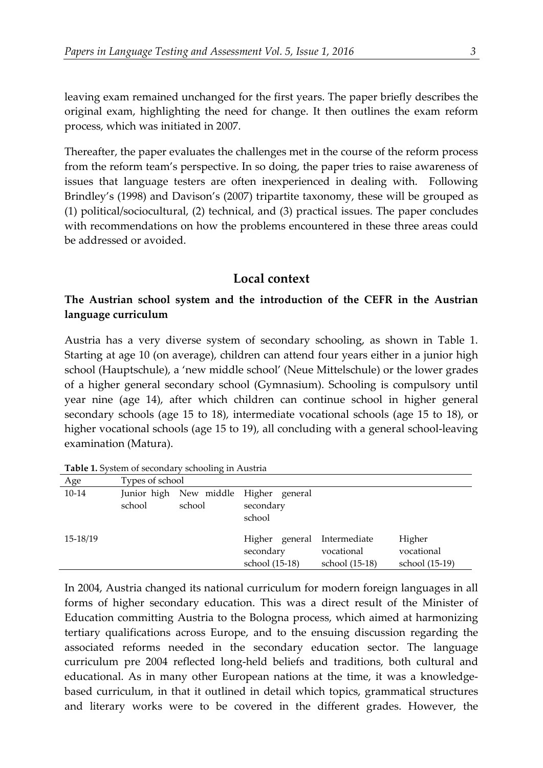leaving exam remained unchanged for the first years. The paper briefly describes the original exam, highlighting the need for change. It then outlines the exam reform process, which was initiated in 2007.

Thereafter, the paper evaluates the challenges met in the course of the reform process from the reform team's perspective. In so doing, the paper tries to raise awareness of issues that language testers are often inexperienced in dealing with. Following Brindley's (1998) and Davison's (2007) tripartite taxonomy, these will be grouped as (1) political/sociocultural, (2) technical, and (3) practical issues. The paper concludes with recommendations on how the problems encountered in these three areas could be addressed or avoided.

### **Local context**

## **The Austrian school system and the introduction of the CEFR in the Austrian language curriculum**

Austria has a very diverse system of secondary schooling, as shown in Table 1. Starting at age 10 (on average), children can attend four years either in a junior high school (Hauptschule), a 'new middle school' (Neue Mittelschule) or the lower grades of a higher general secondary school (Gymnasium). Schooling is compulsory until year nine (age 14), after which children can continue school in higher general secondary schools (age 15 to 18), intermediate vocational schools (age 15 to 18), or higher vocational schools (age 15 to 19), all concluding with a general school-leaving examination (Matura).

| Age      | Types of school |        |                                                              |                              |                                        |  |  |  |  |
|----------|-----------------|--------|--------------------------------------------------------------|------------------------------|----------------------------------------|--|--|--|--|
| $10-14$  | school          | school | Junior high New middle Higher general<br>secondary<br>school |                              |                                        |  |  |  |  |
| 15-18/19 |                 |        | Higher general Intermediate<br>secondary<br>school (15-18)   | vocational<br>school (15-18) | Higher<br>vocational<br>school (15-19) |  |  |  |  |

**Table 1.** System of secondary schooling in Austria

In 2004, Austria changed its national curriculum for modern foreign languages in all forms of higher secondary education. This was a direct result of the Minister of Education committing Austria to the Bologna process, which aimed at harmonizing tertiary qualifications across Europe, and to the ensuing discussion regarding the associated reforms needed in the secondary education sector. The language curriculum pre 2004 reflected long-held beliefs and traditions, both cultural and educational. As in many other European nations at the time, it was a knowledgebased curriculum, in that it outlined in detail which topics, grammatical structures and literary works were to be covered in the different grades. However, the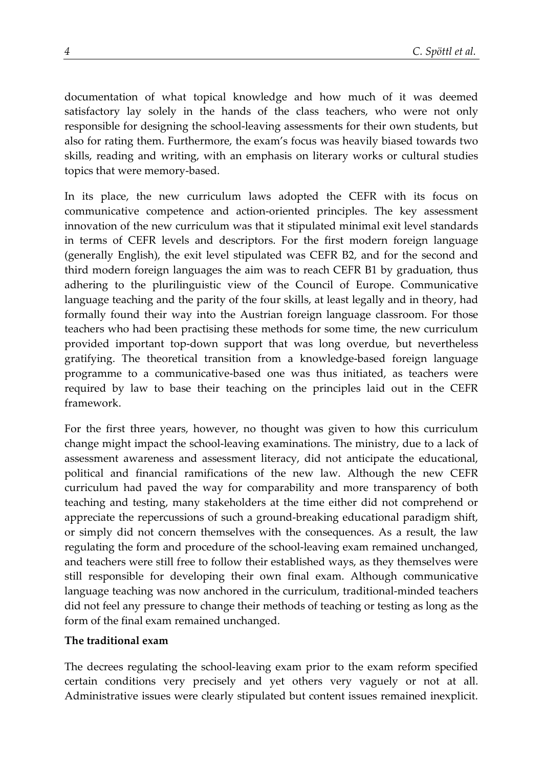documentation of what topical knowledge and how much of it was deemed satisfactory lay solely in the hands of the class teachers, who were not only responsible for designing the school-leaving assessments for their own students, but also for rating them. Furthermore, the exam's focus was heavily biased towards two skills, reading and writing, with an emphasis on literary works or cultural studies topics that were memory-based.

In its place, the new curriculum laws adopted the CEFR with its focus on communicative competence and action-oriented principles. The key assessment innovation of the new curriculum was that it stipulated minimal exit level standards in terms of CEFR levels and descriptors. For the first modern foreign language (generally English), the exit level stipulated was CEFR B2, and for the second and third modern foreign languages the aim was to reach CEFR B1 by graduation, thus adhering to the plurilinguistic view of the Council of Europe. Communicative language teaching and the parity of the four skills, at least legally and in theory, had formally found their way into the Austrian foreign language classroom. For those teachers who had been practising these methods for some time, the new curriculum provided important top-down support that was long overdue, but nevertheless gratifying. The theoretical transition from a knowledge-based foreign language programme to a communicative-based one was thus initiated, as teachers were required by law to base their teaching on the principles laid out in the CEFR framework.

For the first three years, however, no thought was given to how this curriculum change might impact the school-leaving examinations. The ministry, due to a lack of assessment awareness and assessment literacy, did not anticipate the educational, political and financial ramifications of the new law. Although the new CEFR curriculum had paved the way for comparability and more transparency of both teaching and testing, many stakeholders at the time either did not comprehend or appreciate the repercussions of such a ground-breaking educational paradigm shift, or simply did not concern themselves with the consequences. As a result, the law regulating the form and procedure of the school-leaving exam remained unchanged, and teachers were still free to follow their established ways, as they themselves were still responsible for developing their own final exam. Although communicative language teaching was now anchored in the curriculum, traditional-minded teachers did not feel any pressure to change their methods of teaching or testing as long as the form of the final exam remained unchanged.

## **The traditional exam**

The decrees regulating the school-leaving exam prior to the exam reform specified certain conditions very precisely and yet others very vaguely or not at all. Administrative issues were clearly stipulated but content issues remained inexplicit.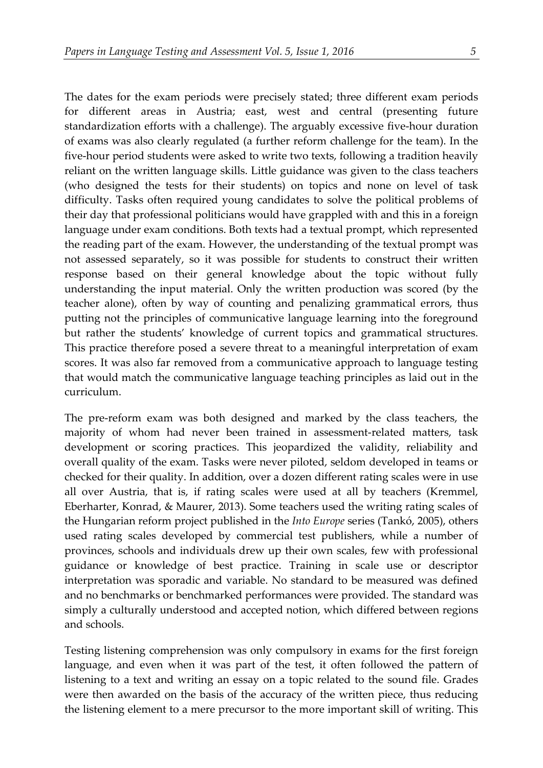The dates for the exam periods were precisely stated; three different exam periods for different areas in Austria; east, west and central (presenting future standardization efforts with a challenge). The arguably excessive five-hour duration of exams was also clearly regulated (a further reform challenge for the team). In the five-hour period students were asked to write two texts, following a tradition heavily reliant on the written language skills. Little guidance was given to the class teachers (who designed the tests for their students) on topics and none on level of task difficulty. Tasks often required young candidates to solve the political problems of their day that professional politicians would have grappled with and this in a foreign language under exam conditions. Both texts had a textual prompt, which represented the reading part of the exam. However, the understanding of the textual prompt was not assessed separately, so it was possible for students to construct their written response based on their general knowledge about the topic without fully understanding the input material. Only the written production was scored (by the teacher alone), often by way of counting and penalizing grammatical errors, thus putting not the principles of communicative language learning into the foreground but rather the students' knowledge of current topics and grammatical structures.

This practice therefore posed a severe threat to a meaningful interpretation of exam scores. It was also far removed from a communicative approach to language testing that would match the communicative language teaching principles as laid out in the curriculum.

The pre-reform exam was both designed and marked by the class teachers, the majority of whom had never been trained in assessment-related matters, task development or scoring practices. This jeopardized the validity, reliability and overall quality of the exam. Tasks were never piloted, seldom developed in teams or checked for their quality. In addition, over a dozen different rating scales were in use all over Austria, that is, if rating scales were used at all by teachers (Kremmel, Eberharter, Konrad, & Maurer, 2013). Some teachers used the writing rating scales of the Hungarian reform project published in the *Into Europe* series (Tankó, 2005), others used rating scales developed by commercial test publishers, while a number of provinces, schools and individuals drew up their own scales, few with professional guidance or knowledge of best practice. Training in scale use or descriptor interpretation was sporadic and variable. No standard to be measured was defined and no benchmarks or benchmarked performances were provided. The standard was simply a culturally understood and accepted notion, which differed between regions and schools.

Testing listening comprehension was only compulsory in exams for the first foreign language, and even when it was part of the test, it often followed the pattern of listening to a text and writing an essay on a topic related to the sound file. Grades were then awarded on the basis of the accuracy of the written piece, thus reducing the listening element to a mere precursor to the more important skill of writing. This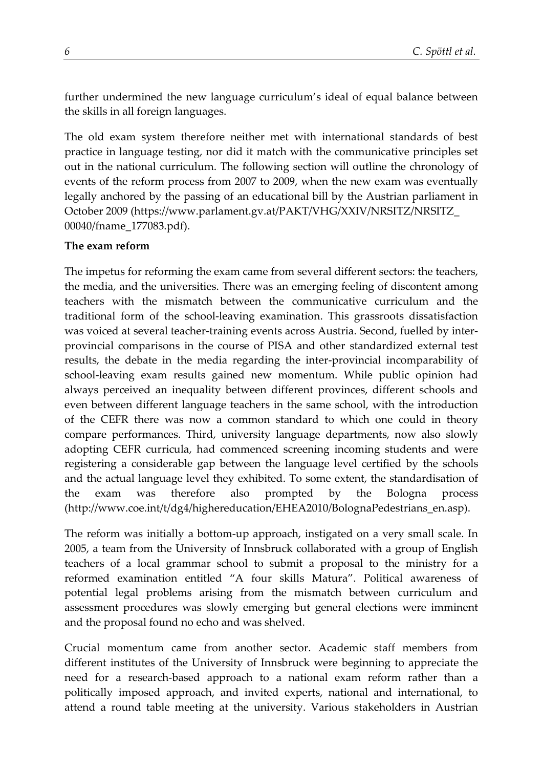further undermined the new language curriculum's ideal of equal balance between the skills in all foreign languages.

The old exam system therefore neither met with international standards of best practice in language testing, nor did it match with the communicative principles set out in the national curriculum. The following section will outline the chronology of events of the reform process from 2007 to 2009, when the new exam was eventually legally anchored by the passing of an educational bill by the Austrian parliament in October 2009 (https://www.parlament.gv.at/PAKT/VHG/XXIV/NRSITZ/NRSITZ\_ 00040/fname\_177083.pdf).

#### **The exam reform**

The impetus for reforming the exam came from several different sectors: the teachers, the media, and the universities. There was an emerging feeling of discontent among teachers with the mismatch between the communicative curriculum and the traditional form of the school-leaving examination. This grassroots dissatisfaction was voiced at several teacher-training events across Austria. Second, fuelled by interprovincial comparisons in the course of PISA and other standardized external test results, the debate in the media regarding the inter-provincial incomparability of school-leaving exam results gained new momentum. While public opinion had always perceived an inequality between different provinces, different schools and even between different language teachers in the same school, with the introduction of the CEFR there was now a common standard to which one could in theory compare performances. Third, university language departments, now also slowly adopting CEFR curricula, had commenced screening incoming students and were registering a considerable gap between the language level certified by the schools and the actual language level they exhibited. To some extent, the standardisation of the exam was therefore also prompted by the Bologna process [\(http://www.coe.int/t/dg4/highereducation/EHEA2010/BolognaPedestrians\\_en.asp\)](http://www.coe.int/t/dg4/highereducation/EHEA2010/BolognaPedestrians_en.asp).

The reform was initially a bottom-up approach, instigated on a very small scale. In 2005, a team from the University of Innsbruck collaborated with a group of English teachers of a local grammar school to submit a proposal to the ministry for a reformed examination entitled "A four skills Matura". Political awareness of potential legal problems arising from the mismatch between curriculum and assessment procedures was slowly emerging but general elections were imminent and the proposal found no echo and was shelved.

Crucial momentum came from another sector. Academic staff members from different institutes of the University of Innsbruck were beginning to appreciate the need for a research-based approach to a national exam reform rather than a politically imposed approach, and invited experts, national and international, to attend a round table meeting at the university. Various stakeholders in Austrian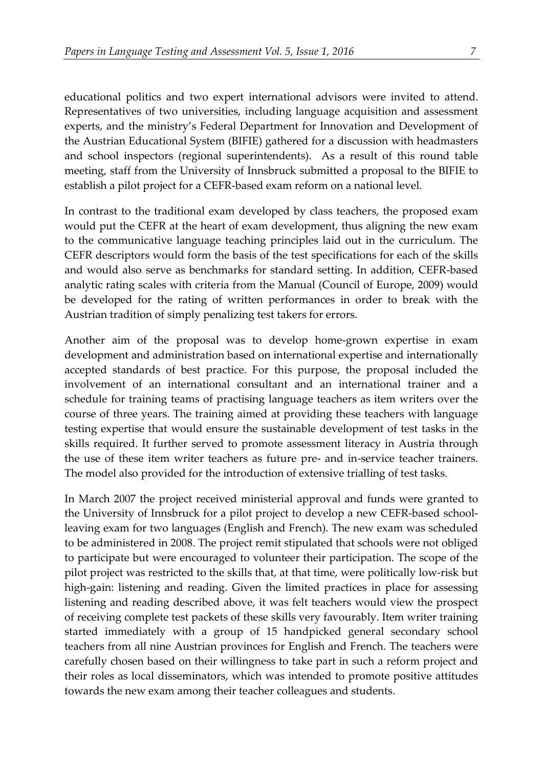educational politics and two expert international advisors were invited to attend. Representatives of two universities, including language acquisition and assessment experts, and the ministry's Federal Department for Innovation and Development of the Austrian Educational System (BIFIE) gathered for a discussion with headmasters and school inspectors (regional superintendents). As a result of this round table meeting, staff from the University of Innsbruck submitted a proposal to the BIFIE to establish a pilot project for a CEFR-based exam reform on a national level.

In contrast to the traditional exam developed by class teachers, the proposed exam would put the CEFR at the heart of exam development, thus aligning the new exam to the communicative language teaching principles laid out in the curriculum. The CEFR descriptors would form the basis of the test specifications for each of the skills and would also serve as benchmarks for standard setting. In addition, CEFR-based analytic rating scales with criteria from the Manual (Council of Europe, 2009) would be developed for the rating of written performances in order to break with the Austrian tradition of simply penalizing test takers for errors.

Another aim of the proposal was to develop home-grown expertise in exam development and administration based on international expertise and internationally accepted standards of best practice. For this purpose, the proposal included the involvement of an international consultant and an international trainer and a schedule for training teams of practising language teachers as item writers over the course of three years. The training aimed at providing these teachers with language testing expertise that would ensure the sustainable development of test tasks in the skills required. It further served to promote assessment literacy in Austria through the use of these item writer teachers as future pre- and in-service teacher trainers. The model also provided for the introduction of extensive trialling of test tasks.

In March 2007 the project received ministerial approval and funds were granted to the University of Innsbruck for a pilot project to develop a new CEFR-based schoolleaving exam for two languages (English and French). The new exam was scheduled to be administered in 2008. The project remit stipulated that schools were not obliged to participate but were encouraged to volunteer their participation. The scope of the pilot project was restricted to the skills that, at that time, were politically low-risk but high-gain: listening and reading. Given the limited practices in place for assessing listening and reading described above, it was felt teachers would view the prospect of receiving complete test packets of these skills very favourably. Item writer training started immediately with a group of 15 handpicked general secondary school teachers from all nine Austrian provinces for English and French. The teachers were carefully chosen based on their willingness to take part in such a reform project and their roles as local disseminators, which was intended to promote positive attitudes towards the new exam among their teacher colleagues and students.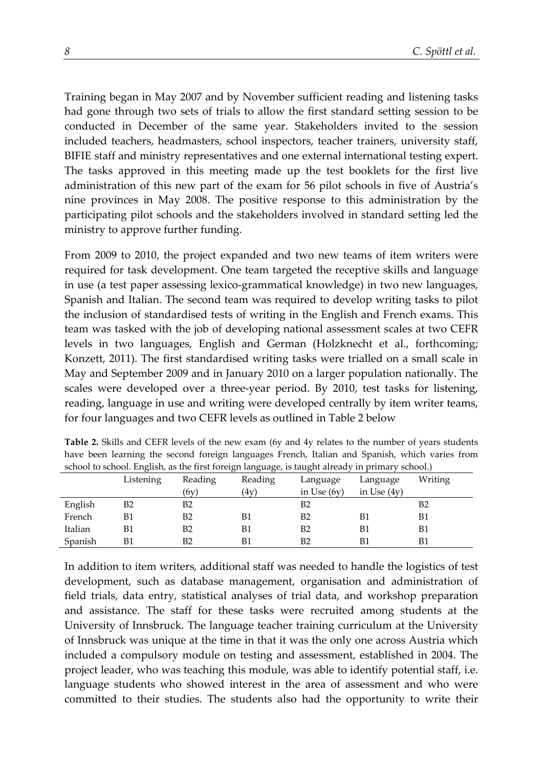Training began in May 2007 and by November sufficient reading and listening tasks had gone through two sets of trials to allow the first standard setting session to be conducted in December of the same year. Stakeholders invited to the session included teachers, headmasters, school inspectors, teacher trainers, university staff, BIFIE staff and ministry representatives and one external international testing expert. The tasks approved in this meeting made up the test booklets for the first live administration of this new part of the exam for 56 pilot schools in five of Austria's nine provinces in May 2008. The positive response to this administration by the participating pilot schools and the stakeholders involved in standard setting led the ministry to approve further funding.

From 2009 to 2010, the project expanded and two new teams of item writers were required for task development. One team targeted the receptive skills and language in use (a test paper assessing lexico-grammatical knowledge) in two new languages, Spanish and Italian. The second team was required to develop writing tasks to pilot the inclusion of standardised tests of writing in the English and French exams. This team was tasked with the job of developing national assessment scales at two CEFR levels in two languages, English and German (Holzknecht et al., forthcoming; Konzett, 2011). The first standardised writing tasks were trialled on a small scale in May and September 2009 and in January 2010 on a larger population nationally. The scales were developed over a three-year period. By 2010, test tasks for listening, reading, language in use and writing were developed centrally by item writer teams, for four languages and two CEFR levels as outlined in Table 2 below

| behoof to behoof, English as the first foreign harguage, to taught affectively in primary behoof, |           |                |         |               |               |         |  |  |  |  |
|---------------------------------------------------------------------------------------------------|-----------|----------------|---------|---------------|---------------|---------|--|--|--|--|
|                                                                                                   | Listening | Reading        | Reading | Language      | Language      | Writing |  |  |  |  |
|                                                                                                   |           | (6v)           | 4v      | in Use $(6v)$ | in Use $(4v)$ |         |  |  |  |  |
| English                                                                                           | B2        | B <sub>2</sub> |         | B2            |               | B2      |  |  |  |  |
| French                                                                                            | B1        | B <sub>2</sub> | B1      | B2            | B1            | B1      |  |  |  |  |
| Italian                                                                                           | Β1        | B <sub>2</sub> | B1      | B2            | B1            | Β1      |  |  |  |  |
| Spanish                                                                                           |           | B <sub>2</sub> |         | B2            | B1            | B1      |  |  |  |  |

**Table 2.** Skills and CEFR levels of the new exam (6y and 4y relates to the number of years students have been learning the second foreign languages French, Italian and Spanish, which varies from school to school. English, as the first foreign language, is taught already in primary school.)

In addition to item writers, additional staff was needed to handle the logistics of test development, such as database management, organisation and administration of field trials, data entry, statistical analyses of trial data, and workshop preparation and assistance. The staff for these tasks were recruited among students at the University of Innsbruck. The language teacher training curriculum at the University of Innsbruck was unique at the time in that it was the only one across Austria which included a compulsory module on testing and assessment, established in 2004. The project leader, who was teaching this module, was able to identify potential staff, i.e. language students who showed interest in the area of assessment and who were committed to their studies. The students also had the opportunity to write their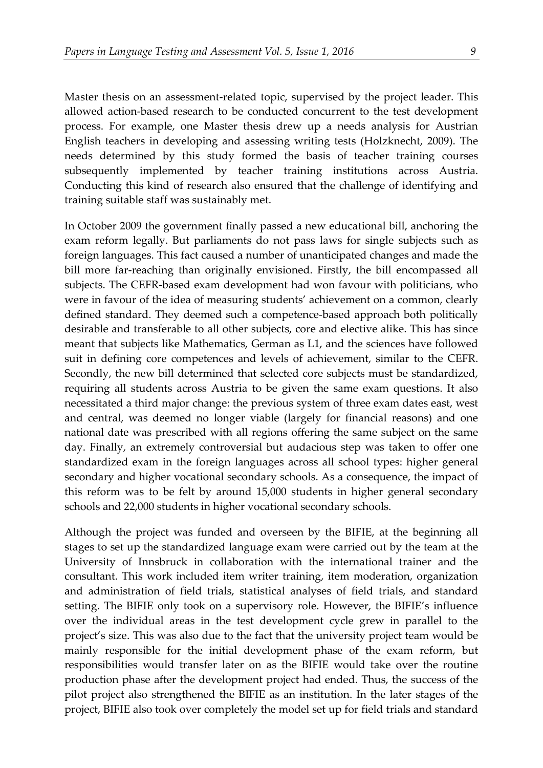Master thesis on an assessment-related topic, supervised by the project leader. This allowed action-based research to be conducted concurrent to the test development process. For example, one Master thesis drew up a needs analysis for Austrian English teachers in developing and assessing writing tests (Holzknecht, 2009). The needs determined by this study formed the basis of teacher training courses subsequently implemented by teacher training institutions across Austria. Conducting this kind of research also ensured that the challenge of identifying and training suitable staff was sustainably met.

In October 2009 the government finally passed a new educational bill, anchoring the exam reform legally. But parliaments do not pass laws for single subjects such as foreign languages. This fact caused a number of unanticipated changes and made the bill more far-reaching than originally envisioned. Firstly, the bill encompassed all subjects. The CEFR-based exam development had won favour with politicians, who were in favour of the idea of measuring students' achievement on a common, clearly defined standard. They deemed such a competence-based approach both politically desirable and transferable to all other subjects, core and elective alike. This has since meant that subjects like Mathematics, German as L1, and the sciences have followed suit in defining core competences and levels of achievement, similar to the CEFR. Secondly, the new bill determined that selected core subjects must be standardized, requiring all students across Austria to be given the same exam questions. It also necessitated a third major change: the previous system of three exam dates east, west and central, was deemed no longer viable (largely for financial reasons) and one national date was prescribed with all regions offering the same subject on the same day. Finally, an extremely controversial but audacious step was taken to offer one standardized exam in the foreign languages across all school types: higher general secondary and higher vocational secondary schools. As a consequence, the impact of this reform was to be felt by around 15,000 students in higher general secondary schools and 22,000 students in higher vocational secondary schools.

Although the project was funded and overseen by the BIFIE, at the beginning all stages to set up the standardized language exam were carried out by the team at the University of Innsbruck in collaboration with the international trainer and the consultant. This work included item writer training, item moderation, organization and administration of field trials, statistical analyses of field trials, and standard setting. The BIFIE only took on a supervisory role. However, the BIFIE's influence over the individual areas in the test development cycle grew in parallel to the project's size. This was also due to the fact that the university project team would be mainly responsible for the initial development phase of the exam reform, but responsibilities would transfer later on as the BIFIE would take over the routine production phase after the development project had ended. Thus, the success of the pilot project also strengthened the BIFIE as an institution. In the later stages of the project, BIFIE also took over completely the model set up for field trials and standard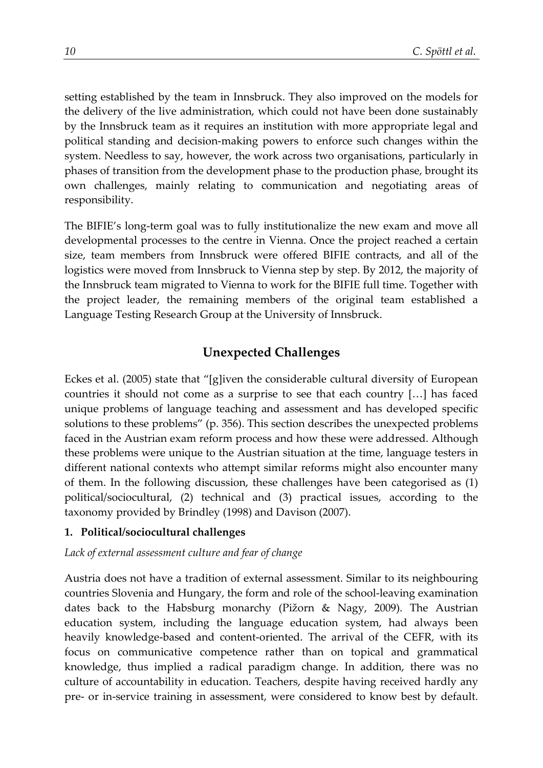setting established by the team in Innsbruck. They also improved on the models for the delivery of the live administration, which could not have been done sustainably by the Innsbruck team as it requires an institution with more appropriate legal and political standing and decision-making powers to enforce such changes within the system. Needless to say, however, the work across two organisations, particularly in phases of transition from the development phase to the production phase, brought its own challenges, mainly relating to communication and negotiating areas of responsibility.

The BIFIE's long-term goal was to fully institutionalize the new exam and move all developmental processes to the centre in Vienna. Once the project reached a certain size, team members from Innsbruck were offered BIFIE contracts, and all of the logistics were moved from Innsbruck to Vienna step by step. By 2012, the majority of the Innsbruck team migrated to Vienna to work for the BIFIE full time. Together with the project leader, the remaining members of the original team established a Language Testing Research Group at the University of Innsbruck.

## **Unexpected Challenges**

Eckes et al. (2005) state that "[g]iven the considerable cultural diversity of European countries it should not come as a surprise to see that each country […] has faced unique problems of language teaching and assessment and has developed specific solutions to these problems" (p. 356). This section describes the unexpected problems faced in the Austrian exam reform process and how these were addressed. Although these problems were unique to the Austrian situation at the time, language testers in different national contexts who attempt similar reforms might also encounter many of them. In the following discussion, these challenges have been categorised as (1) political/sociocultural, (2) technical and (3) practical issues, according to the taxonomy provided by Brindley (1998) and Davison (2007).

#### **1. Political/sociocultural challenges**

*Lack of external assessment culture and fear of change*

Austria does not have a tradition of external assessment. Similar to its neighbouring countries Slovenia and Hungary, the form and role of the school-leaving examination dates back to the Habsburg monarchy (Pižorn & Nagy, 2009). The Austrian education system, including the language education system, had always been heavily knowledge-based and content-oriented. The arrival of the CEFR, with its focus on communicative competence rather than on topical and grammatical knowledge, thus implied a radical paradigm change. In addition, there was no culture of accountability in education. Teachers, despite having received hardly any pre- or in-service training in assessment, were considered to know best by default.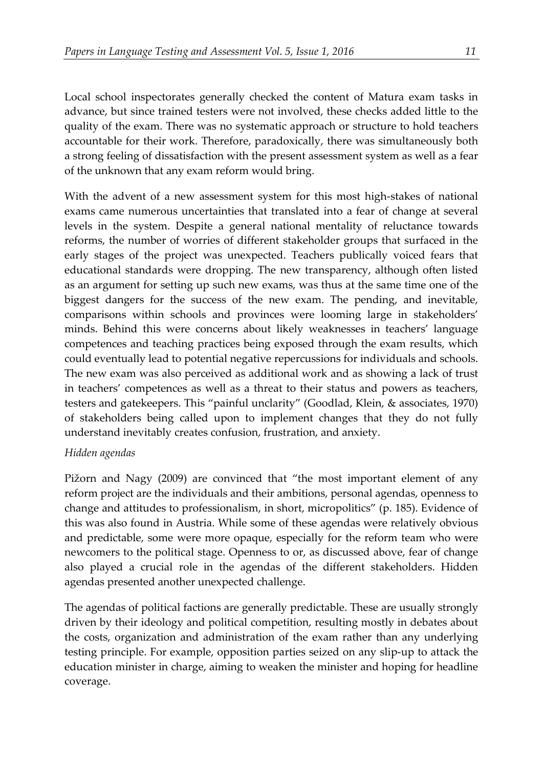Local school inspectorates generally checked the content of Matura exam tasks in advance, but since trained testers were not involved, these checks added little to the quality of the exam. There was no systematic approach or structure to hold teachers accountable for their work. Therefore, paradoxically, there was simultaneously both a strong feeling of dissatisfaction with the present assessment system as well as a fear of the unknown that any exam reform would bring.

With the advent of a new assessment system for this most high-stakes of national exams came numerous uncertainties that translated into a fear of change at several levels in the system. Despite a general national mentality of reluctance towards reforms, the number of worries of different stakeholder groups that surfaced in the early stages of the project was unexpected. Teachers publically voiced fears that educational standards were dropping. The new transparency, although often listed as an argument for setting up such new exams, was thus at the same time one of the biggest dangers for the success of the new exam. The pending, and inevitable, comparisons within schools and provinces were looming large in stakeholders' minds. Behind this were concerns about likely weaknesses in teachers' language competences and teaching practices being exposed through the exam results, which could eventually lead to potential negative repercussions for individuals and schools. The new exam was also perceived as additional work and as showing a lack of trust in teachers' competences as well as a threat to their status and powers as teachers, testers and gatekeepers. This "painful unclarity" (Goodlad, Klein, & associates, 1970) of stakeholders being called upon to implement changes that they do not fully understand inevitably creates confusion, frustration, and anxiety.

#### *Hidden agendas*

Pižorn and Nagy (2009) are convinced that "the most important element of any reform project are the individuals and their ambitions, personal agendas, openness to change and attitudes to professionalism, in short, micropolitics" (p. 185). Evidence of this was also found in Austria. While some of these agendas were relatively obvious and predictable, some were more opaque, especially for the reform team who were newcomers to the political stage. Openness to or, as discussed above, fear of change also played a crucial role in the agendas of the different stakeholders. Hidden agendas presented another unexpected challenge.

The agendas of political factions are generally predictable. These are usually strongly driven by their ideology and political competition, resulting mostly in debates about the costs, organization and administration of the exam rather than any underlying testing principle. For example, opposition parties seized on any slip-up to attack the education minister in charge, aiming to weaken the minister and hoping for headline coverage.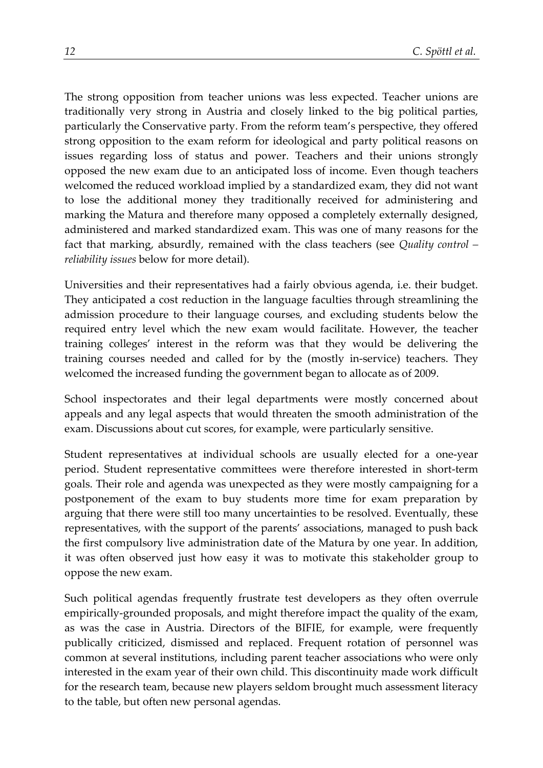The strong opposition from teacher unions was less expected. Teacher unions are traditionally very strong in Austria and closely linked to the big political parties, particularly the Conservative party. From the reform team's perspective, they offered strong opposition to the exam reform for ideological and party political reasons on issues regarding loss of status and power. Teachers and their unions strongly opposed the new exam due to an anticipated loss of income. Even though teachers welcomed the reduced workload implied by a standardized exam, they did not want to lose the additional money they traditionally received for administering and marking the Matura and therefore many opposed a completely externally designed, administered and marked standardized exam. This was one of many reasons for the fact that marking, absurdly, remained with the class teachers (see *Quality control – reliability issues* below for more detail).

Universities and their representatives had a fairly obvious agenda, i.e. their budget. They anticipated a cost reduction in the language faculties through streamlining the admission procedure to their language courses, and excluding students below the required entry level which the new exam would facilitate. However, the teacher training colleges' interest in the reform was that they would be delivering the training courses needed and called for by the (mostly in-service) teachers. They welcomed the increased funding the government began to allocate as of 2009.

School inspectorates and their legal departments were mostly concerned about appeals and any legal aspects that would threaten the smooth administration of the exam. Discussions about cut scores, for example, were particularly sensitive.

Student representatives at individual schools are usually elected for a one-year period. Student representative committees were therefore interested in short-term goals. Their role and agenda was unexpected as they were mostly campaigning for a postponement of the exam to buy students more time for exam preparation by arguing that there were still too many uncertainties to be resolved. Eventually, these representatives, with the support of the parents' associations, managed to push back the first compulsory live administration date of the Matura by one year. In addition, it was often observed just how easy it was to motivate this stakeholder group to oppose the new exam.

Such political agendas frequently frustrate test developers as they often overrule empirically-grounded proposals, and might therefore impact the quality of the exam, as was the case in Austria. Directors of the BIFIE, for example, were frequently publically criticized, dismissed and replaced. Frequent rotation of personnel was common at several institutions, including parent teacher associations who were only interested in the exam year of their own child. This discontinuity made work difficult for the research team, because new players seldom brought much assessment literacy to the table, but often new personal agendas.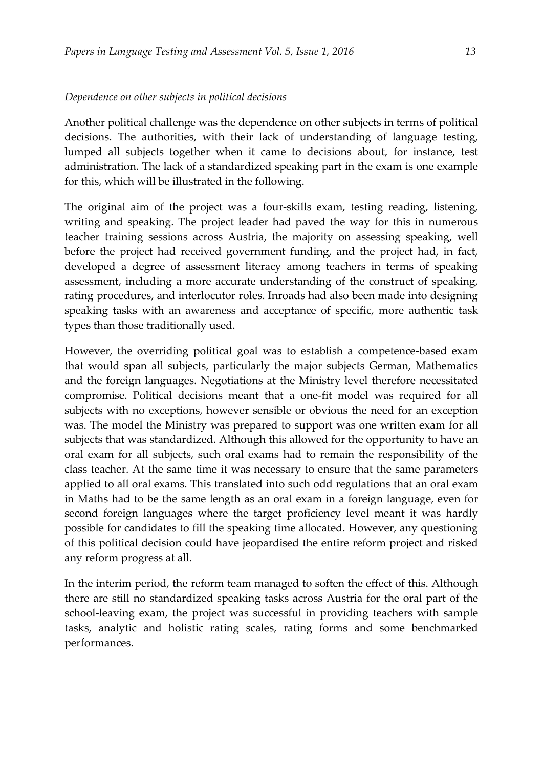#### *Dependence on other subjects in political decisions*

Another political challenge was the dependence on other subjects in terms of political decisions. The authorities, with their lack of understanding of language testing, lumped all subjects together when it came to decisions about, for instance, test administration. The lack of a standardized speaking part in the exam is one example for this, which will be illustrated in the following.

The original aim of the project was a four-skills exam, testing reading, listening, writing and speaking. The project leader had paved the way for this in numerous teacher training sessions across Austria, the majority on assessing speaking, well before the project had received government funding, and the project had, in fact, developed a degree of assessment literacy among teachers in terms of speaking assessment, including a more accurate understanding of the construct of speaking, rating procedures, and interlocutor roles. Inroads had also been made into designing speaking tasks with an awareness and acceptance of specific, more authentic task types than those traditionally used.

However, the overriding political goal was to establish a competence-based exam that would span all subjects, particularly the major subjects German, Mathematics and the foreign languages. Negotiations at the Ministry level therefore necessitated compromise. Political decisions meant that a one-fit model was required for all subjects with no exceptions, however sensible or obvious the need for an exception was. The model the Ministry was prepared to support was one written exam for all subjects that was standardized. Although this allowed for the opportunity to have an oral exam for all subjects, such oral exams had to remain the responsibility of the class teacher. At the same time it was necessary to ensure that the same parameters applied to all oral exams. This translated into such odd regulations that an oral exam in Maths had to be the same length as an oral exam in a foreign language, even for second foreign languages where the target proficiency level meant it was hardly possible for candidates to fill the speaking time allocated. However, any questioning of this political decision could have jeopardised the entire reform project and risked any reform progress at all.

In the interim period, the reform team managed to soften the effect of this. Although there are still no standardized speaking tasks across Austria for the oral part of the school-leaving exam, the project was successful in providing teachers with sample tasks, analytic and holistic rating scales, rating forms and some benchmarked performances.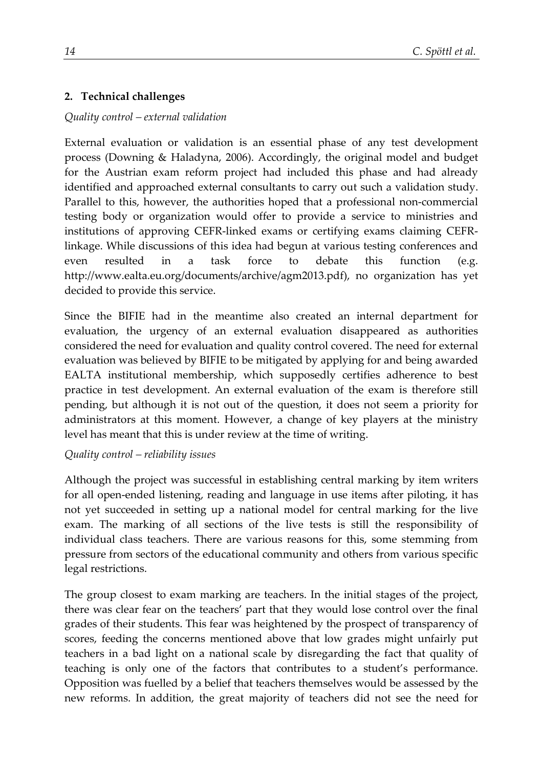## **2. Technical challenges**

### *Quality control – external validation*

External evaluation or validation is an essential phase of any test development process (Downing & Haladyna, 2006). Accordingly, the original model and budget for the Austrian exam reform project had included this phase and had already identified and approached external consultants to carry out such a validation study. Parallel to this, however, the authorities hoped that a professional non-commercial testing body or organization would offer to provide a service to ministries and institutions of approving CEFR-linked exams or certifying exams claiming CEFRlinkage. While discussions of this idea had begun at various testing conferences and even resulted in a task force to debate this function (e.g. [http://www.ealta.eu.org/documents/archive/agm2013.pdf\)](http://www.ealta.eu.org/documents/archive/agm2013.pdf), no organization has yet decided to provide this service.

Since the BIFIE had in the meantime also created an internal department for evaluation, the urgency of an external evaluation disappeared as authorities considered the need for evaluation and quality control covered. The need for external evaluation was believed by BIFIE to be mitigated by applying for and being awarded EALTA institutional membership, which supposedly certifies adherence to best practice in test development. An external evaluation of the exam is therefore still pending, but although it is not out of the question, it does not seem a priority for administrators at this moment. However, a change of key players at the ministry level has meant that this is under review at the time of writing.

#### *Quality control – reliability issues*

Although the project was successful in establishing central marking by item writers for all open-ended listening, reading and language in use items after piloting, it has not yet succeeded in setting up a national model for central marking for the live exam. The marking of all sections of the live tests is still the responsibility of individual class teachers. There are various reasons for this, some stemming from pressure from sectors of the educational community and others from various specific legal restrictions.

The group closest to exam marking are teachers. In the initial stages of the project, there was clear fear on the teachers' part that they would lose control over the final grades of their students. This fear was heightened by the prospect of transparency of scores, feeding the concerns mentioned above that low grades might unfairly put teachers in a bad light on a national scale by disregarding the fact that quality of teaching is only one of the factors that contributes to a student's performance. Opposition was fuelled by a belief that teachers themselves would be assessed by the new reforms. In addition, the great majority of teachers did not see the need for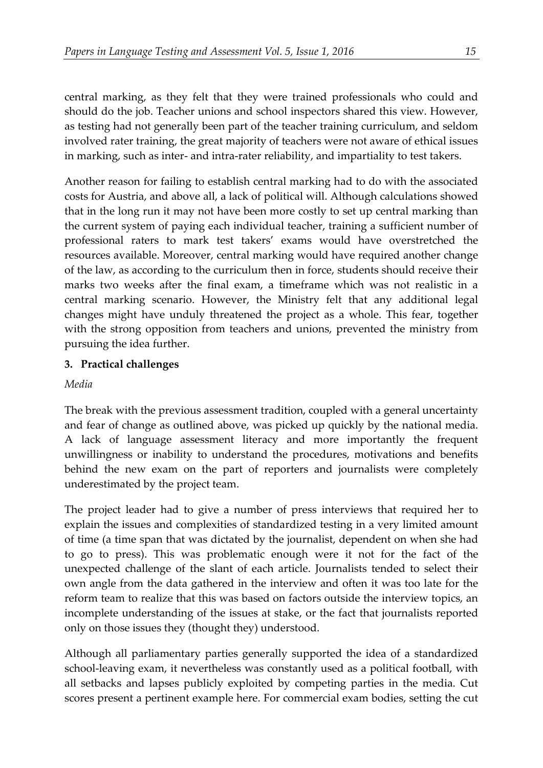central marking, as they felt that they were trained professionals who could and should do the job. Teacher unions and school inspectors shared this view. However, as testing had not generally been part of the teacher training curriculum, and seldom involved rater training, the great majority of teachers were not aware of ethical issues in marking, such as inter- and intra-rater reliability, and impartiality to test takers.

Another reason for failing to establish central marking had to do with the associated costs for Austria, and above all, a lack of political will. Although calculations showed that in the long run it may not have been more costly to set up central marking than the current system of paying each individual teacher, training a sufficient number of professional raters to mark test takers' exams would have overstretched the resources available. Moreover, central marking would have required another change of the law, as according to the curriculum then in force, students should receive their marks two weeks after the final exam, a timeframe which was not realistic in a central marking scenario. However, the Ministry felt that any additional legal changes might have unduly threatened the project as a whole. This fear, together with the strong opposition from teachers and unions, prevented the ministry from pursuing the idea further.

### **3. Practical challenges**

*Media*

The break with the previous assessment tradition, coupled with a general uncertainty and fear of change as outlined above, was picked up quickly by the national media. A lack of language assessment literacy and more importantly the frequent unwillingness or inability to understand the procedures, motivations and benefits behind the new exam on the part of reporters and journalists were completely underestimated by the project team.

The project leader had to give a number of press interviews that required her to explain the issues and complexities of standardized testing in a very limited amount of time (a time span that was dictated by the journalist, dependent on when she had to go to press). This was problematic enough were it not for the fact of the unexpected challenge of the slant of each article. Journalists tended to select their own angle from the data gathered in the interview and often it was too late for the reform team to realize that this was based on factors outside the interview topics, an incomplete understanding of the issues at stake, or the fact that journalists reported only on those issues they (thought they) understood.

Although all parliamentary parties generally supported the idea of a standardized school-leaving exam, it nevertheless was constantly used as a political football, with all setbacks and lapses publicly exploited by competing parties in the media. Cut scores present a pertinent example here. For commercial exam bodies, setting the cut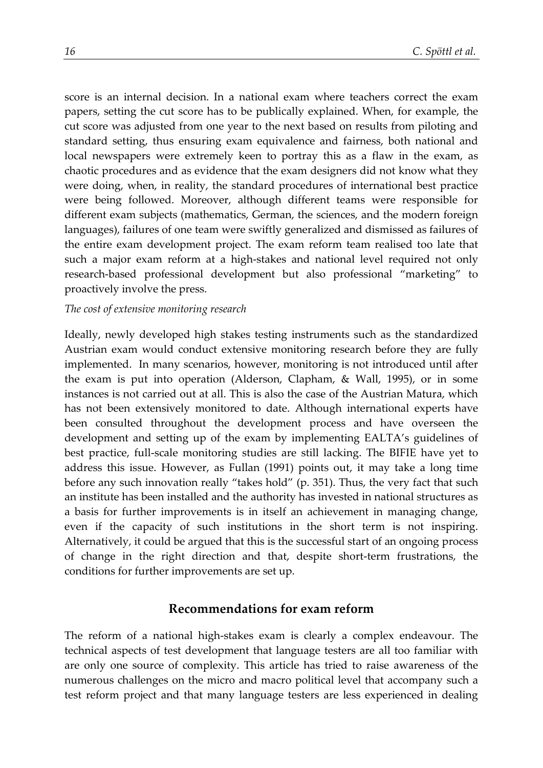score is an internal decision. In a national exam where teachers correct the exam papers, setting the cut score has to be publically explained. When, for example, the cut score was adjusted from one year to the next based on results from piloting and standard setting, thus ensuring exam equivalence and fairness, both national and local newspapers were extremely keen to portray this as a flaw in the exam, as chaotic procedures and as evidence that the exam designers did not know what they were doing, when, in reality, the standard procedures of international best practice were being followed. Moreover, although different teams were responsible for different exam subjects (mathematics, German, the sciences, and the modern foreign languages), failures of one team were swiftly generalized and dismissed as failures of the entire exam development project. The exam reform team realised too late that such a major exam reform at a high-stakes and national level required not only research-based professional development but also professional "marketing" to proactively involve the press.

#### *The cost of extensive monitoring research*

Ideally, newly developed high stakes testing instruments such as the standardized Austrian exam would conduct extensive monitoring research before they are fully implemented. In many scenarios, however, monitoring is not introduced until after the exam is put into operation (Alderson, Clapham, & Wall, 1995), or in some instances is not carried out at all. This is also the case of the Austrian Matura, which has not been extensively monitored to date. Although international experts have been consulted throughout the development process and have overseen the development and setting up of the exam by implementing EALTA's guidelines of best practice, full-scale monitoring studies are still lacking. The BIFIE have yet to address this issue. However, as Fullan (1991) points out, it may take a long time before any such innovation really "takes hold" (p. 351). Thus, the very fact that such an institute has been installed and the authority has invested in national structures as a basis for further improvements is in itself an achievement in managing change, even if the capacity of such institutions in the short term is not inspiring. Alternatively, it could be argued that this is the successful start of an ongoing process of change in the right direction and that, despite short-term frustrations, the conditions for further improvements are set up.

#### **Recommendations for exam reform**

The reform of a national high-stakes exam is clearly a complex endeavour. The technical aspects of test development that language testers are all too familiar with are only one source of complexity. This article has tried to raise awareness of the numerous challenges on the micro and macro political level that accompany such a test reform project and that many language testers are less experienced in dealing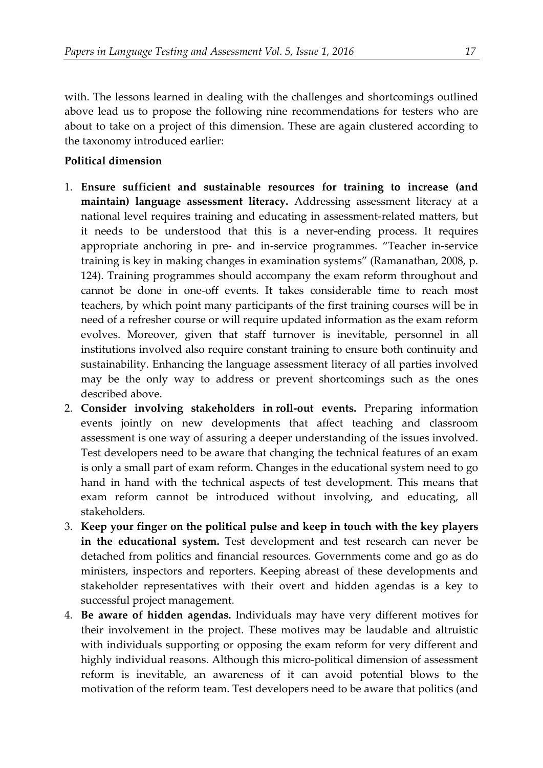with. The lessons learned in dealing with the challenges and shortcomings outlined above lead us to propose the following nine recommendations for testers who are about to take on a project of this dimension. These are again clustered according to the taxonomy introduced earlier:

#### **Political dimension**

- 1. **Ensure sufficient and sustainable resources for training to increase (and maintain) language assessment literacy.** Addressing assessment literacy at a national level requires training and educating in assessment-related matters, but it needs to be understood that this is a never-ending process. It requires appropriate anchoring in pre- and in-service programmes. "Teacher in-service training is key in making changes in examination systems" (Ramanathan, 2008, p. 124). Training programmes should accompany the exam reform throughout and cannot be done in one-off events. It takes considerable time to reach most teachers, by which point many participants of the first training courses will be in need of a refresher course or will require updated information as the exam reform evolves. Moreover, given that staff turnover is inevitable, personnel in all institutions involved also require constant training to ensure both continuity and sustainability. Enhancing the language assessment literacy of all parties involved may be the only way to address or prevent shortcomings such as the ones described above.
- 2. **Consider involving stakeholders in roll-out events.** Preparing information events jointly on new developments that affect teaching and classroom assessment is one way of assuring a deeper understanding of the issues involved. Test developers need to be aware that changing the technical features of an exam is only a small part of exam reform. Changes in the educational system need to go hand in hand with the technical aspects of test development. This means that exam reform cannot be introduced without involving, and educating, all stakeholders.
- 3. **Keep your finger on the political pulse and keep in touch with the key players in the educational system.** Test development and test research can never be detached from politics and financial resources. Governments come and go as do ministers, inspectors and reporters. Keeping abreast of these developments and stakeholder representatives with their overt and hidden agendas is a key to successful project management.
- 4. **Be aware of hidden agendas.** Individuals may have very different motives for their involvement in the project. These motives may be laudable and altruistic with individuals supporting or opposing the exam reform for very different and highly individual reasons. Although this micro-political dimension of assessment reform is inevitable, an awareness of it can avoid potential blows to the motivation of the reform team. Test developers need to be aware that politics (and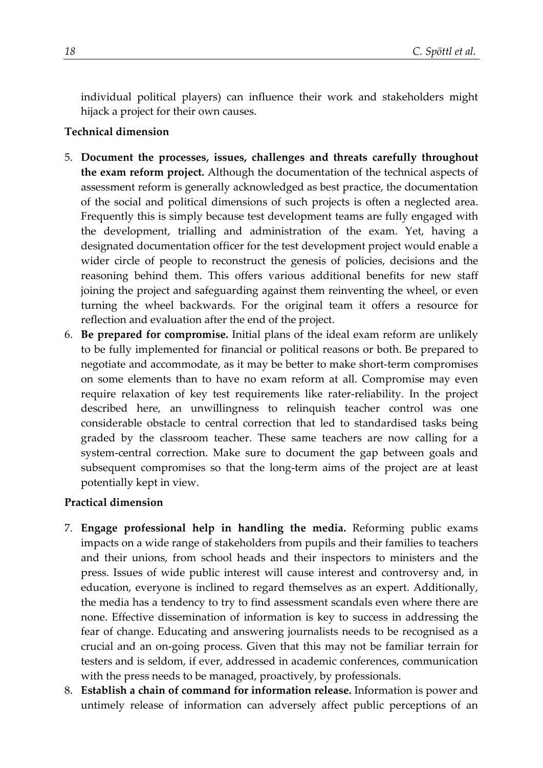individual political players) can influence their work and stakeholders might hijack a project for their own causes.

### **Technical dimension**

- 5. **Document the processes, issues, challenges and threats carefully throughout the exam reform project.** Although the documentation of the technical aspects of assessment reform is generally acknowledged as best practice, the documentation of the social and political dimensions of such projects is often a neglected area. Frequently this is simply because test development teams are fully engaged with the development, trialling and administration of the exam. Yet, having a designated documentation officer for the test development project would enable a wider circle of people to reconstruct the genesis of policies, decisions and the reasoning behind them. This offers various additional benefits for new staff joining the project and safeguarding against them reinventing the wheel, or even turning the wheel backwards. For the original team it offers a resource for reflection and evaluation after the end of the project.
- 6. **Be prepared for compromise.** Initial plans of the ideal exam reform are unlikely to be fully implemented for financial or political reasons or both. Be prepared to negotiate and accommodate, as it may be better to make short-term compromises on some elements than to have no exam reform at all. Compromise may even require relaxation of key test requirements like rater-reliability. In the project described here, an unwillingness to relinquish teacher control was one considerable obstacle to central correction that led to standardised tasks being graded by the classroom teacher. These same teachers are now calling for a system-central correction. Make sure to document the gap between goals and subsequent compromises so that the long-term aims of the project are at least potentially kept in view.

#### **Practical dimension**

- 7. **Engage professional help in handling the media.** Reforming public exams impacts on a wide range of stakeholders from pupils and their families to teachers and their unions, from school heads and their inspectors to ministers and the press. Issues of wide public interest will cause interest and controversy and, in education, everyone is inclined to regard themselves as an expert. Additionally, the media has a tendency to try to find assessment scandals even where there are none. Effective dissemination of information is key to success in addressing the fear of change. Educating and answering journalists needs to be recognised as a crucial and an on-going process. Given that this may not be familiar terrain for testers and is seldom, if ever, addressed in academic conferences, communication with the press needs to be managed, proactively, by professionals.
- 8. **Establish a chain of command for information release.** Information is power and untimely release of information can adversely affect public perceptions of an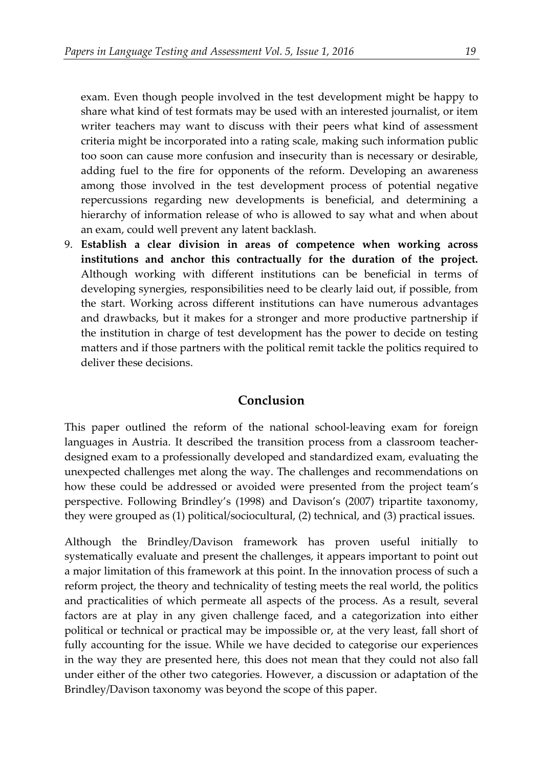exam. Even though people involved in the test development might be happy to share what kind of test formats may be used with an interested journalist, or item writer teachers may want to discuss with their peers what kind of assessment criteria might be incorporated into a rating scale, making such information public too soon can cause more confusion and insecurity than is necessary or desirable, adding fuel to the fire for opponents of the reform. Developing an awareness among those involved in the test development process of potential negative repercussions regarding new developments is beneficial, and determining a hierarchy of information release of who is allowed to say what and when about an exam, could well prevent any latent backlash.

9. **Establish a clear division in areas of competence when working across institutions and anchor this contractually for the duration of the project.**  Although working with different institutions can be beneficial in terms of developing synergies, responsibilities need to be clearly laid out, if possible, from the start. Working across different institutions can have numerous advantages and drawbacks, but it makes for a stronger and more productive partnership if the institution in charge of test development has the power to decide on testing matters and if those partners with the political remit tackle the politics required to deliver these decisions.

#### **Conclusion**

This paper outlined the reform of the national school-leaving exam for foreign languages in Austria. It described the transition process from a classroom teacherdesigned exam to a professionally developed and standardized exam, evaluating the unexpected challenges met along the way. The challenges and recommendations on how these could be addressed or avoided were presented from the project team's perspective. Following Brindley's (1998) and Davison's (2007) tripartite taxonomy, they were grouped as (1) political/sociocultural, (2) technical, and (3) practical issues.

Although the Brindley/Davison framework has proven useful initially to systematically evaluate and present the challenges, it appears important to point out a major limitation of this framework at this point. In the innovation process of such a reform project, the theory and technicality of testing meets the real world, the politics and practicalities of which permeate all aspects of the process. As a result, several factors are at play in any given challenge faced, and a categorization into either political or technical or practical may be impossible or, at the very least, fall short of fully accounting for the issue. While we have decided to categorise our experiences in the way they are presented here, this does not mean that they could not also fall under either of the other two categories. However, a discussion or adaptation of the Brindley/Davison taxonomy was beyond the scope of this paper.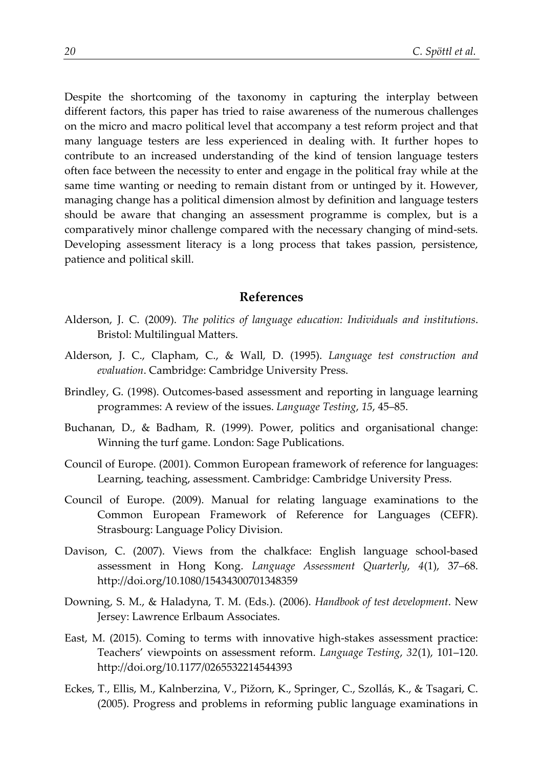Despite the shortcoming of the taxonomy in capturing the interplay between different factors, this paper has tried to raise awareness of the numerous challenges on the micro and macro political level that accompany a test reform project and that many language testers are less experienced in dealing with. It further hopes to contribute to an increased understanding of the kind of tension language testers often face between the necessity to enter and engage in the political fray while at the same time wanting or needing to remain distant from or untinged by it. However, managing change has a political dimension almost by definition and language testers should be aware that changing an assessment programme is complex, but is a comparatively minor challenge compared with the necessary changing of mind-sets. Developing assessment literacy is a long process that takes passion, persistence, patience and political skill.

#### **References**

- Alderson, J. C. (2009). *The politics of language education: Individuals and institutions*. Bristol: Multilingual Matters.
- Alderson, J. C., Clapham, C., & Wall, D. (1995). *Language test construction and evaluation*. Cambridge: Cambridge University Press.
- Brindley, G. (1998). Outcomes-based assessment and reporting in language learning programmes: A review of the issues. *Language Testing*, *15*, 45–85.
- Buchanan, D., & Badham, R. (1999). Power, politics and organisational change: Winning the turf game. London: Sage Publications.
- Council of Europe. (2001). Common European framework of reference for languages: Learning, teaching, assessment. Cambridge: Cambridge University Press.
- Council of Europe. (2009). Manual for relating language examinations to the Common European Framework of Reference for Languages (CEFR). Strasbourg: Language Policy Division.
- Davison, C. (2007). Views from the chalkface: English language school-based assessment in Hong Kong. *Language Assessment Quarterly*, *4*(1), 37–68. http://doi.org/10.1080/15434300701348359
- Downing, S. M., & Haladyna, T. M. (Eds.). (2006). *Handbook of test development*. New Jersey: Lawrence Erlbaum Associates.
- East, M. (2015). Coming to terms with innovative high-stakes assessment practice: Teachers' viewpoints on assessment reform. *Language Testing*, *32*(1), 101–120. http://doi.org/10.1177/0265532214544393
- Eckes, T., Ellis, M., Kalnberzina, V., Pižorn, K., Springer, C., Szollás, K., & Tsagari, C. (2005). Progress and problems in reforming public language examinations in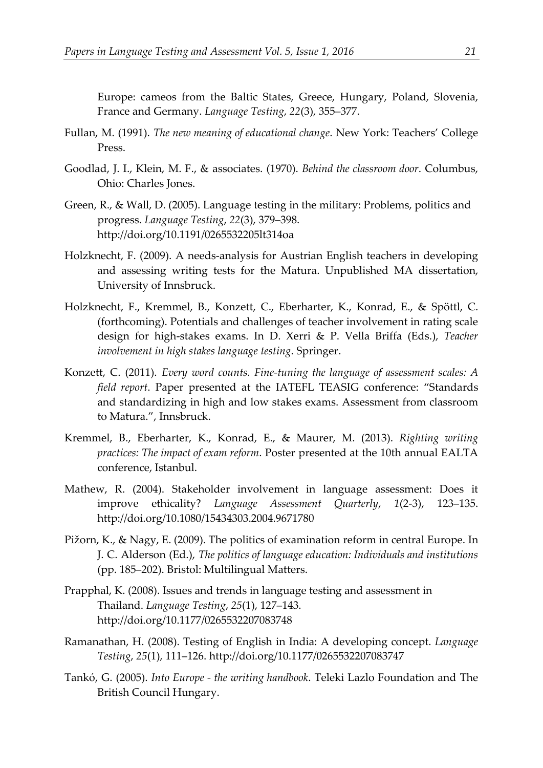Europe: cameos from the Baltic States, Greece, Hungary, Poland, Slovenia, France and Germany. *Language Testing*, *22*(3), 355–377.

- Fullan, M. (1991). *The new meaning of educational change*. New York: Teachers' College Press.
- Goodlad, J. I., Klein, M. F., & associates. (1970). *Behind the classroom door*. Columbus, Ohio: Charles Jones.
- Green, R., & Wall, D. (2005). Language testing in the military: Problems, politics and progress. *Language Testing*, *22*(3), 379–398. http://doi.org/10.1191/0265532205lt314oa
- Holzknecht, F. (2009). A needs-analysis for Austrian English teachers in developing and assessing writing tests for the Matura. Unpublished MA dissertation, University of Innsbruck.
- Holzknecht, F., Kremmel, B., Konzett, C., Eberharter, K., Konrad, E., & Spöttl, C. (forthcoming). Potentials and challenges of teacher involvement in rating scale design for high-stakes exams. In D. Xerri & P. Vella Briffa (Eds.), *Teacher involvement in high stakes language testing*. Springer.
- Konzett, C. (2011). *Every word counts. Fine-tuning the language of assessment scales: A field report*. Paper presented at the IATEFL TEASIG conference: "Standards and standardizing in high and low stakes exams. Assessment from classroom to Matura.", Innsbruck.
- Kremmel, B., Eberharter, K., Konrad, E., & Maurer, M. (2013). *Righting writing practices: The impact of exam reform*. Poster presented at the 10th annual EALTA conference, Istanbul.
- Mathew, R. (2004). Stakeholder involvement in language assessment: Does it improve ethicality? *Language Assessment Quarterly*, *1*(2-3), 123–135. http://doi.org/10.1080/15434303.2004.9671780
- Pižorn, K., & Nagy, E. (2009). The politics of examination reform in central Europe. In J. C. Alderson (Ed.), *The politics of language education: Individuals and institutions* (pp. 185–202). Bristol: Multilingual Matters.
- Prapphal, K. (2008). Issues and trends in language testing and assessment in Thailand. *Language Testing*, *25*(1), 127–143. http://doi.org/10.1177/0265532207083748
- Ramanathan, H. (2008). Testing of English in India: A developing concept. *Language Testing*, *25*(1), 111–126. http://doi.org/10.1177/0265532207083747
- Tankó, G. (2005). *Into Europe - the writing handbook*. Teleki Lazlo Foundation and The British Council Hungary.